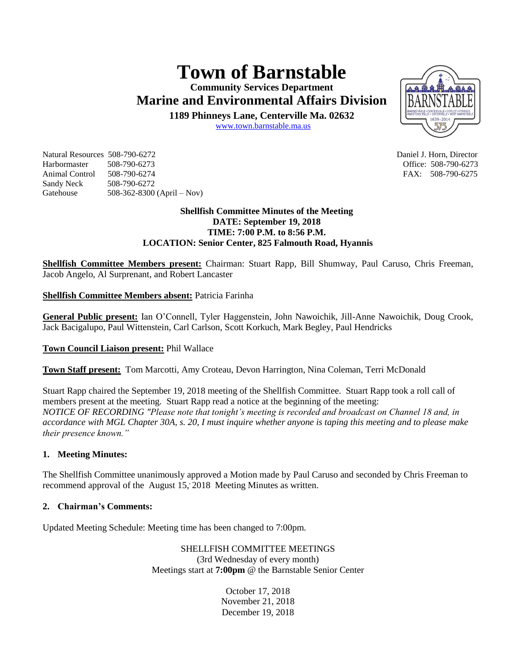# **Town of Barnstable**

**Community Services Department Marine and Environmental Affairs Division** 

**1189 Phinneys Lane, Centerville Ma. 02632**

[www.town.barnstable.ma.us](http://www.town.barnstable.ma.us/)

Natural Resources 508-790-6272 Daniel J. Horn, Director Harbormaster 508-790-6273 Office: 508-790-6273 Animal Control 508-790-6274 **FAX: 508-790-6275** Sandy Neck 508-790-6272 Gatehouse 508-362-8300 (April – Nov)

## **Shellfish Committee Minutes of the Meeting DATE: September 19, 2018 TIME: 7:00 P.M. to 8:56 P.M. LOCATION: Senior Center, 825 Falmouth Road, Hyannis**

**Shellfish Committee Members present:** Chairman: Stuart Rapp, Bill Shumway, Paul Caruso, Chris Freeman, Jacob Angelo, Al Surprenant, and Robert Lancaster

# **Shellfish Committee Members absent:** Patricia Farinha

**General Public present:** Ian O'Connell, Tyler Haggenstein, John Nawoichik, Jill-Anne Nawoichik, Doug Crook, Jack Bacigalupo, Paul Wittenstein, Carl Carlson, Scott Korkuch, Mark Begley, Paul Hendricks

# **Town Council Liaison present:** Phil Wallace

**Town Staff present:** Tom Marcotti, Amy Croteau, Devon Harrington, Nina Coleman, Terri McDonald

Stuart Rapp chaired the September 19, 2018 meeting of the Shellfish Committee. Stuart Rapp took a roll call of members present at the meeting. Stuart Rapp read a notice at the beginning of the meeting: *NOTICE OF RECORDING "Please note that tonight's meeting is recorded and broadcast on Channel 18 and, in accordance with MGL Chapter 30A, s. 20, I must inquire whether anyone is taping this meeting and to please make their presence known."*

# **1. Meeting Minutes:**

The Shellfish Committee unanimously approved a Motion made by Paul Caruso and seconded by Chris Freeman to recommend approval of the August 15, 2018 Meeting Minutes as written.

# **2. Chairman's Comments:**

Updated Meeting Schedule: Meeting time has been changed to 7:00pm.

SHELLFISH COMMITTEE MEETINGS (3rd Wednesday of every month) Meetings start at **7:00pm** @ the Barnstable Senior Center

> October 17, 2018 November 21, 2018 December 19, 2018

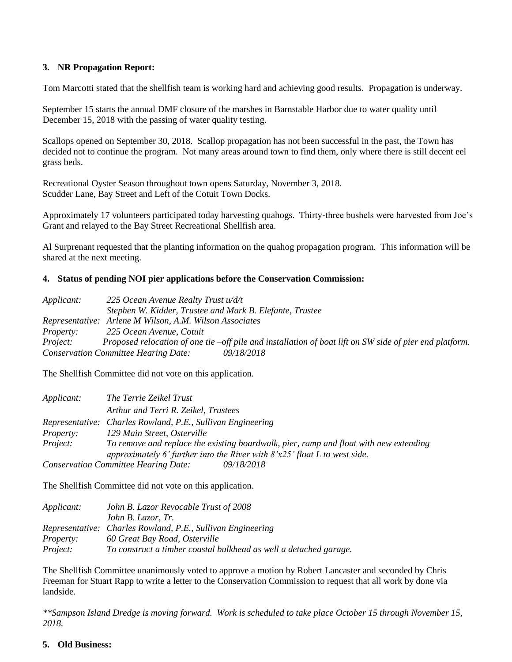# **3. NR Propagation Report:**

Tom Marcotti stated that the shellfish team is working hard and achieving good results. Propagation is underway.

September 15 starts the annual DMF closure of the marshes in Barnstable Harbor due to water quality until December 15, 2018 with the passing of water quality testing.

Scallops opened on September 30, 2018. Scallop propagation has not been successful in the past, the Town has decided not to continue the program. Not many areas around town to find them, only where there is still decent eel grass beds.

Recreational Oyster Season throughout town opens Saturday, November 3, 2018. Scudder Lane, Bay Street and Left of the Cotuit Town Docks.

Approximately 17 volunteers participated today harvesting quahogs. Thirty-three bushels were harvested from Joe's Grant and relayed to the Bay Street Recreational Shellfish area.

Al Surprenant requested that the planting information on the quahog propagation program. This information will be shared at the next meeting.

### **4. Status of pending NOI pier applications before the Conservation Commission:**

| Applicant:       | 225 Ocean Avenue Realty Trust u/d/t                                                                     |
|------------------|---------------------------------------------------------------------------------------------------------|
|                  | Stephen W. Kidder, Trustee and Mark B. Elefante, Trustee                                                |
|                  | Representative: Arlene M Wilson, A.M. Wilson Associates                                                 |
| <i>Property:</i> | 225 Ocean Avenue, Cotuit                                                                                |
| <i>Project:</i>  | Proposed relocation of one tie –off pile and installation of boat lift on SW side of pier end platform. |
|                  | 09/18/2018<br><b>Conservation Committee Hearing Date:</b>                                               |

The Shellfish Committee did not vote on this application.

| Applicant:       | The Terrie Zeikel Trust                                                               |
|------------------|---------------------------------------------------------------------------------------|
|                  | Arthur and Terri R. Zeikel, Trustees                                                  |
|                  | Representative: Charles Rowland, P.E., Sullivan Engineering                           |
| <i>Property:</i> | 129 Main Street, Osterville                                                           |
| Project:         | To remove and replace the existing boardwalk, pier, ramp and float with new extending |
|                  | approximately 6' further into the River with $8'x25'$ float L to west side.           |
|                  | <b>Conservation Committee Hearing Date:</b><br><i>09/18/2018</i>                      |

The Shellfish Committee did not vote on this application.

| <i>Applicant:</i> | John B. Lazor Revocable Trust of 2008                             |
|-------------------|-------------------------------------------------------------------|
|                   | John B. Lazor, Tr.                                                |
|                   | Representative: Charles Rowland, P.E., Sullivan Engineering       |
| <i>Property:</i>  | 60 Great Bay Road, Osterville                                     |
| Project:          | To construct a timber coastal bulkhead as well a detached garage. |

The Shellfish Committee unanimously voted to approve a motion by Robert Lancaster and seconded by Chris Freeman for Stuart Rapp to write a letter to the Conservation Commission to request that all work by done via landside.

*\*\*Sampson Island Dredge is moving forward. Work is scheduled to take place October 15 through November 15, 2018.*

#### **5. Old Business:**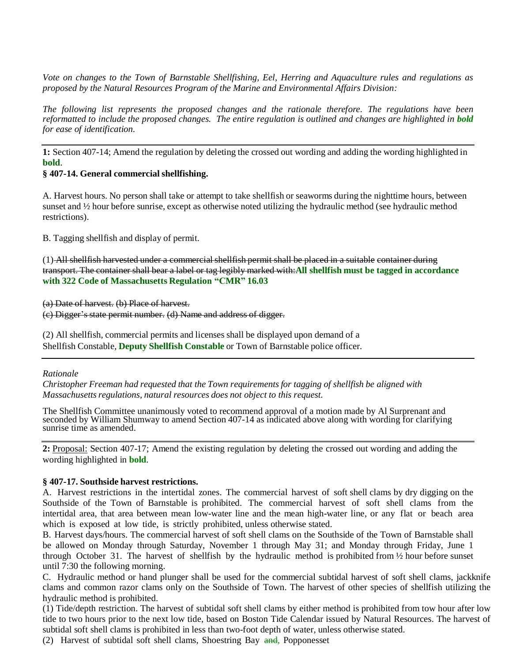*Vote on changes to the Town of Barnstable Shellfishing, Eel, Herring and Aquaculture rules and regulations as proposed by the Natural Resources Program of the Marine and Environmental Affairs Division:*

*The following list represents the proposed changes and the rationale therefore. The regulations have been reformatted to include the proposed changes. The entire regulation is outlined and changes are highlighted in bold for ease of identification.*

**1:** Section 407-14; Amend the regulation by deleting the crossed out wording and adding the wording highlighted in **bold**.

### **§ 407-14. General commercial shellfishing.**

A. Harvest hours. No person shall take or attempt to take shellfish or seaworms during the nighttime hours, between sunset and  $\frac{1}{2}$  hour before sunrise, except as otherwise noted utilizing the hydraulic method (see hydraulic method restrictions).

B. Tagging shellfish and display of permit.

(1) All shellfish harvested under a commercial shellfish permit shall be placed in a suitable container during transport. The container shall bear a label or tag legibly marked with:**All shellfish must be tagged in accordance with 322 Code of Massachusetts Regulation "CMR" 16.03**

(a) Date of harvest. (b) Place of harvest.

(c) Digger's state permit number. (d) Name and address of digger.

(2) All shellfish, commercial permits and licenses shall be displayed upon demand of a Shellfish Constable, **Deputy Shellfish Constable** or Town of Barnstable police officer.

*Rationale*

*Christopher Freeman had requested that the Town requirementsfor tagging of shellfish be aligned with Massachusettsregulations, natural resources does not object to this request.*

The Shellfish Committee unanimously voted to recommend approval of a motion made by Al Surprenant and seconded by William Shumway to amend Section 407-14 as indicated above along with wording for clarifying sunrise time as amended.

**2:** Proposal: Section 407-17; Amend the existing regulation by deleting the crossed out wording and adding the wording highlighted in **bold**.

### **§ 407-17. Southside harvest restrictions.**

A. Harvest restrictions in the intertidal zones. The commercial harvest of soft shell clams by dry digging on the Southside of the Town of Barnstable is prohibited. The commercial harvest of soft shell clams from the intertidal area, that area between mean low-water line and the mean high-water line, or any flat or beach area which is exposed at low tide, is strictly prohibited, unless otherwise stated.

B. Harvest days/hours. The commercial harvest of soft shell clams on the Southside of the Town of Barnstable shall be allowed on Monday through Saturday, November 1 through May 31; and Monday through Friday, June 1 through October 31. The harvest of shellfish by the hydraulic method is prohibited from ½ hour before sunset until 7:30 the following morning.

C. Hydraulic method or hand plunger shall be used for the commercial subtidal harvest of soft shell clams, jackknife clams and common razor clams only on the Southside of Town. The harvest of other species of shellfish utilizing the hydraulic method is prohibited.

(1) Tide/depth restriction. The harvest of subtidal soft shell clams by either method is prohibited from tow hour after low tide to two hours prior to the next low tide, based on Boston Tide Calendar issued by Natural Resources. The harvest of subtidal soft shell clams is prohibited in less than two-foot depth of water, unless otherwise stated.

(2) Harvest of subtidal soft shell clams, Shoestring Bay and, Popponesset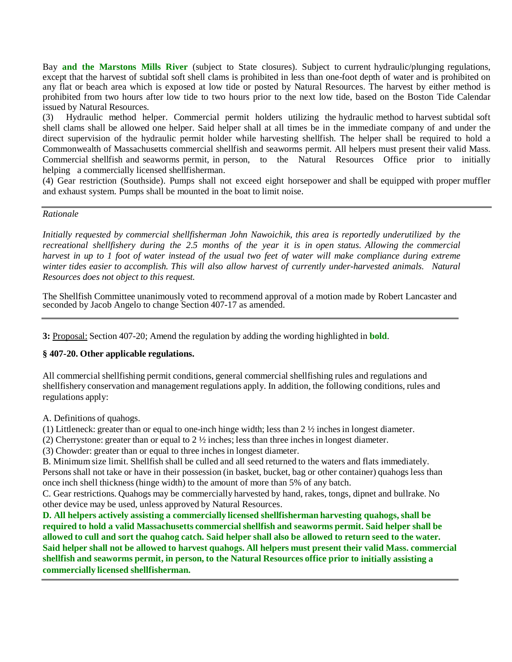Bay **and the Marstons Mills River** (subject to State closures). Subject to current hydraulic/plunging regulations, except that the harvest of subtidal soft shell clams is prohibited in less than one-foot depth of water and is prohibited on any flat or beach area which is exposed at low tide or posted by Natural Resources. The harvest by either method is prohibited from two hours after low tide to two hours prior to the next low tide, based on the Boston Tide Calendar issued by Natural Resources.

(3) Hydraulic method helper. Commercial permit holders utilizing the hydraulic method to harvest subtidal soft shell clams shall be allowed one helper. Said helper shall at all times be in the immediate company of and under the direct supervision of the hydraulic permit holder while harvesting shellfish. The helper shall be required to hold a Commonwealth of Massachusetts commercial shellfish and seaworms permit. All helpers must present their valid Mass. Commercial shellfish and seaworms permit, in person, to the Natural Resources Office prior to initially helping a commercially licensed shellfisherman.

(4) Gear restriction (Southside). Pumps shall not exceed eight horsepower and shall be equipped with proper muffler and exhaust system. Pumps shall be mounted in the boat to limit noise.

#### *Rationale*

*Initially requested by commercial shellfisherman John Nawoichik, this area is reportedly underutilized by the recreational shellfishery during the 2.5 months of the year it is in open status. Allowing the commercial*  harvest in up to 1 foot of water instead of the usual two feet of water will make compliance during extreme *winter tides easier to accomplish. This will also allow harvest of currently under-harvested animals. Natural Resources does not object to this request.*

The Shellfish Committee unanimously voted to recommend approval of a motion made by Robert Lancaster and seconded by Jacob Angelo to change Section 407-17 as amended.

**3:** Proposal: Section 407-20; Amend the regulation by adding the wording highlighted in **bold**.

# **§ 407-20. Other applicable regulations.**

All commercial shellfishing permit conditions, general commercial shellfishing rules and regulations and shellfishery conservation and management regulations apply. In addition, the following conditions, rules and regulations apply:

A. Definitions of quahogs.

(1) Littleneck: greater than or equal to one-inch hinge width; less than  $2 \frac{1}{2}$  inches in longest diameter.

(2) Cherrystone: greater than or equal to  $2 \frac{1}{2}$  inches; less than three inches in longest diameter.

(3) Chowder: greater than or equal to three inchesin longest diameter.

B. Minimum size limit. Shellfish shall be culled and all seed returned to the waters and flats immediately.

Persons shall not take or have in their possession (in basket, bucket, bag or other container) quahogs less than once inch shell thickness(hinge width) to the amount of more than 5% of any batch.

C. Gear restrictions. Quahogs may be commercially harvested by hand, rakes, tongs, dipnet and bullrake. No other device may be used, unless approved by Natural Resources.

**D. All helpers actively assisting a commercially licensed shellfisherman harvesting quahogs, shall be required to hold a valid Massachusetts commercial shellfish and seaworms permit. Said helper shall be** allowed to cull and sort the quahog catch. Said helper shall also be allowed to return seed to the water. Said helper shall not be allowed to harvest quahogs. All helpers must present their valid Mass. commercial **shellfish and seaworms permit, in person, to the Natural Resources office prior to initially assisting a commercially licensed shellfisherman.**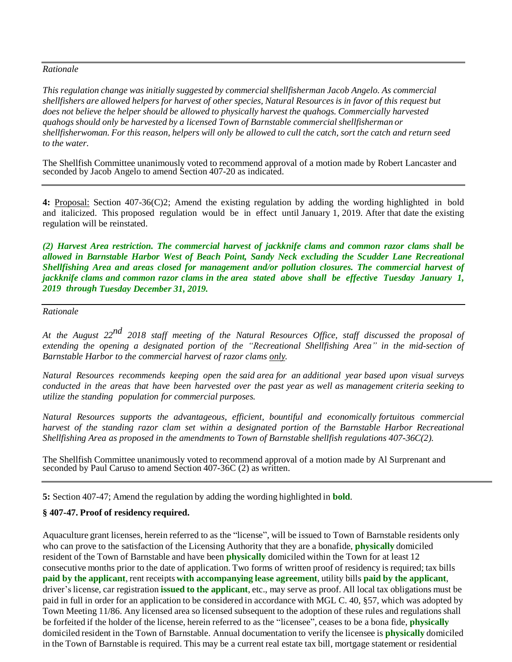# *Rationale*

*This regulation change was initially suggested by commercial shellfisherman Jacob Angelo. As commercial shellfishers are allowed helpers for harvest of other species, Natural Resources is in favor of this request but does not believe the helper should be allowed to physically harvest the quahogs. Commercially harvested quahogs should only be harvested by a licensed Town of Barnstable commercialshellfisherman or*  shellfisherwoman. For this reason, helpers will only be allowed to cull the catch, sort the catch and return seed *to the water.*

The Shellfish Committee unanimously voted to recommend approval of a motion made by Robert Lancaster and seconded by Jacob Angelo to amend Section 407-20 as indicated.

**4:** Proposal: Section 407-36(C)2; Amend the existing regulation by adding the wording highlighted in bold and italicized. This proposed regulation would be in effect until January 1, 2019. After that date the existing regulation will be reinstated.

*(2) Harvest Area restriction. The commercial harvest of jackknife clams and common razor clams shall be allowed in Barnstable Harbor West of Beach Point, Sandy Neck excluding the Scudder Lane Recreational Shellfishing Area and areas closed for management and/or pollution closures. The commercial harvest of jackknife clams and common razor clams in the area stated above shall be effective Tuesday January 1, 2019 through Tuesday December 31, 2019.*

#### *Rationale*

*At the August 22 nd <sup>2018</sup> staff meeting of the Natural Resources Office, staff discussed the proposal of extending the opening a designated portion of the "Recreational Shellfishing Area" in the mid-section of Barnstable Harbor to the commercial harvest of razor clams only.*

*Natural Resources recommends keeping open the said area for an additional year based upon visual surveys* conducted in the areas that have been harvested over the past year as well as management criteria seeking to *utilize the standing population for commercial purposes.*

*Natural Resources supports the advantageous, efficient, bountiful and economically fortuitous commercial harvest of the standing razor clam set within a designated portion of the Barnstable Harbor Recreational Shellfishing Area as proposed in the amendments to Town of Barnstable shellfish regulations 407-36C(2).*

The Shellfish Committee unanimously voted to recommend approval of a motion made by Al Surprenant and seconded by Paul Caruso to amend Section 407-36C (2) as written.

**5:** Section 407-47; Amend the regulation by adding the wording highlighted in **bold**.

# **§ 407-47. Proof of residency required.**

Aquaculture grant licenses, herein referred to as the "license", will be issued to Town of Barnstable residents only who can prove to the satisfaction of the Licensing Authority that they are a bonafide, **physically** domiciled resident of the Town of Barnstable and have been **physically** domiciled within the Town for at least 12 consecutive months prior to the date of application. Two forms of written proof of residency is required; tax bills **paid by the applicant**, rent receipts **with accompanying lease agreement**, utility bills **paid by the applicant**, driver'slicense, car registration **issued to the applicant**, etc., may serve as proof. All local tax obligations must be paid in full in order for an application to be considered in accordance with MGL C. 40, §57, which was adopted by Town Meeting 11/86. Any licensed area so licensed subsequent to the adoption of these rules and regulations shall be forfeited if the holder of the license, herein referred to as the "licensee", ceases to be a bona fide, **physically** domiciled resident in the Town of Barnstable. Annual documentation to verify the licensee is **physically** domiciled in the Town of Barnstable is required. This may be a current real estate tax bill, mortgage statement or residential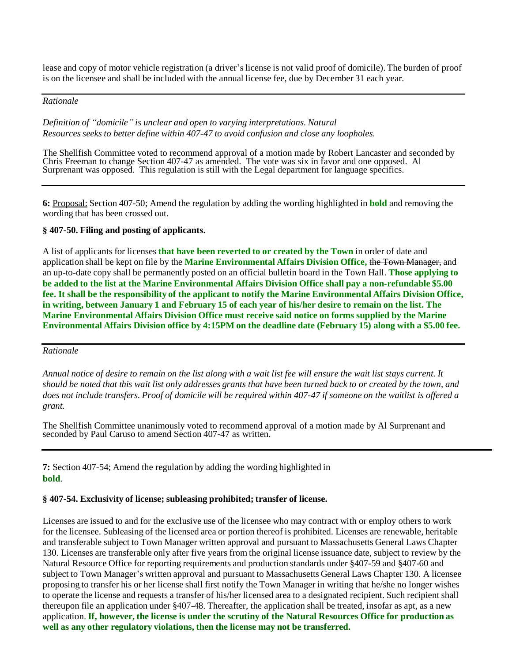lease and copy of motor vehicle registration (a driver's license is not valid proof of domicile). The burden of proof is on the licensee and shall be included with the annual license fee, due by December 31 each year.

# *Rationale*

*Definition of "domicile" is unclear and open to varying interpretations. Natural Resources seeks to better define within 407-47 to avoid confusion and close any loopholes.*

The Shellfish Committee voted to recommend approval of a motion made by Robert Lancaster and seconded by Chris Freeman to change Section 407-47 as amended. The vote was six in favor and one opposed. Al Surprenant was opposed. This regulation is still with the Legal department for language specifics.

**6:** Proposal: Section 407-50; Amend the regulation by adding the wording highlighted in **bold** and removing the wording that has been crossed out.

# **§ 407-50. Filing and posting of applicants.**

A list of applicants for licenses **that have been reverted to or created by the Town** in order of date and application shall be kept on file by the **Marine Environmental Affairs Division Office,** the Town Manager, and an up-to-date copy shall be permanently posted on an official bulletin board in the Town Hall. **Those applying to be added to the list at the Marine Environmental Affairs Division Office shall pay a non-refundable \$5.00 fee. It shall be the responsibility of the applicant to notify the Marine Environmental Affairs Division Office,** in writing, between January 1 and February 15 of each year of his/her desire to remain on the list. The **Marine Environmental Affairs Division Office must receive said notice on forms supplied by the Marine Environmental Affairs Division office by 4:15PM on the deadline date (February 15) along with a \$5.00 fee.**

#### *Rationale*

Annual notice of desire to remain on the list along with a wait list fee will ensure the wait list stays current. It should be noted that this wait list only addresses grants that have been turned back to or created by the town, and does not include transfers. Proof of domicile will be required within 407-47 if someone on the waitlist is offered a *grant.*

The Shellfish Committee unanimously voted to recommend approval of a motion made by Al Surprenant and seconded by Paul Caruso to amend Section 407-47 as written.

**7:** Section 407-54; Amend the regulation by adding the wording highlighted in **bold**.

# **§ 407-54. Exclusivity of license; subleasing prohibited; transfer of license.**

Licenses are issued to and for the exclusive use of the licensee who may contract with or employ others to work for the licensee. Subleasing of the licensed area or portion thereof is prohibited. Licenses are renewable, heritable and transferable subject to Town Manager written approval and pursuant to Massachusetts General Laws Chapter 130. Licenses are transferable only after five years from the original license issuance date, subject to review by the Natural Resource Office for reporting requirements and production standards under §407-59 and §407-60 and subject to Town Manager's written approval and pursuant to Massachusetts General Laws Chapter 130. A licensee proposing to transfer his or her license shall first notify the Town Manager in writing that he/she no longer wishes to operate the license and requests a transfer of his/her licensed area to a designated recipient. Such recipient shall thereupon file an application under §407-48. Thereafter, the application shall be treated, insofar as apt, as a new application. **If, however, the license is under the scrutiny of the Natural Resources Office for production as well as any other regulatory violations, then the license may not be transferred.**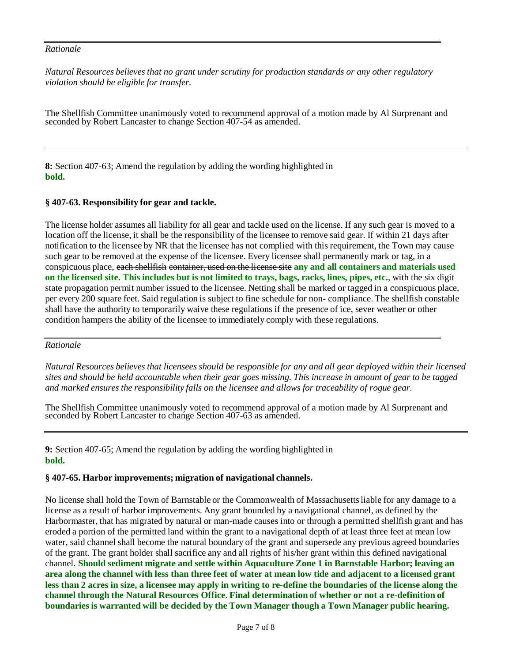# *Rationale*

*Natural Resources believes that no grant under scrutiny for production standards or any other regulatory violation should be eligible for transfer.*

The Shellfish Committee unanimously voted to recommend approval of a motion made by Al Surprenant and seconded by Robert Lancaster to change Section 407-54 as amended.

**8:** Section 407-63; Amend the regulation by adding the wording highlighted in **bold.**

# **§ 407-63. Responsibility for gear and tackle.**

The license holder assumes all liability for all gear and tackle used on the license. If any such gear is moved to a location off the license, it shall be the responsibility of the licensee to remove said gear. If within 21 days after notification to the licensee by NR that the licensee has not complied with this requirement, the Town may cause such gear to be removed at the expense of the licensee. Every licensee shall permanently mark or tag, in a conspicuous place, each shellfish container, used on the license site **any and all containers and materials used** on the licensed site. This includes but is not limited to trays, bags, racks, lines, pipes, etc., with the six digit state propagation permit number issued to the licensee. Netting shall be marked or tagged in a conspicuous place, per every 200 square feet. Said regulation is subject to fine schedule for non- compliance. The shellfish constable shall have the authority to temporarily waive these regulations if the presence of ice, sever weather or other condition hampers the ability of the licensee to immediately comply with these regulations.

# *Rationale*

Natural Resources believes that licensees should be responsible for any and all gear deployed within their licensed *sites and should be held accountable when their gear goes missing. This increase in amount of gear to be tagged and marked ensures the responsibility falls on the licensee and allows for traceability of rogue gear.*

The Shellfish Committee unanimously voted to recommend approval of a motion made by Al Surprenant and seconded by Robert Lancaster to change Section 407-63 as amended.

**9:** Section 407-65; Amend the regulation by adding the wording highlighted in **bold.**

# **§ 407-65. Harbor improvements; migration of navigational channels.**

No license shall hold the Town of Barnstable or the Commonwealth of Massachusettsliable for any damage to a license as a result of harbor improvements. Any grant bounded by a navigational channel, as defined by the Harbormaster, that has migrated by natural or man-made causes into or through a permitted shellfish grant and has eroded a portion of the permitted land within the grant to a navigational depth of at least three feet at mean low water, said channel shall become the natural boundary of the grant and supersede any previous agreed boundaries of the grant. The grant holder shall sacrifice any and all rights of his/her grant within this defined navigational channel. **Should sediment migrate and settle within Aquaculture Zone 1 in Barnstable Harbor; leaving an** area along the channel with less than three feet of water at mean low tide and adjacent to a licensed grant less than 2 acres in size, a licensee may apply in writing to re-define the boundaries of the license along the **channel through the Natural Resources Office. Final determination of whether or not a re-definition of boundaries is warranted will be decided by the Town Manager though a Town Manager public hearing.**